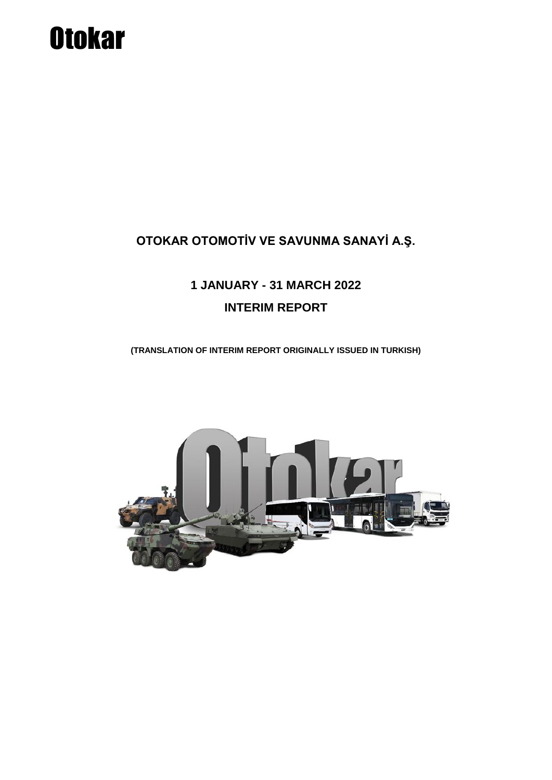# **Otokar**

### **OTOKAR OTOMOTİV VE SAVUNMA SANAYİ A.Ş.**

## **1 JANUARY - 31 MARCH 2022 INTERIM REPORT**

**(TRANSLATION OF INTERIM REPORT ORIGINALLY ISSUED IN TURKISH)**

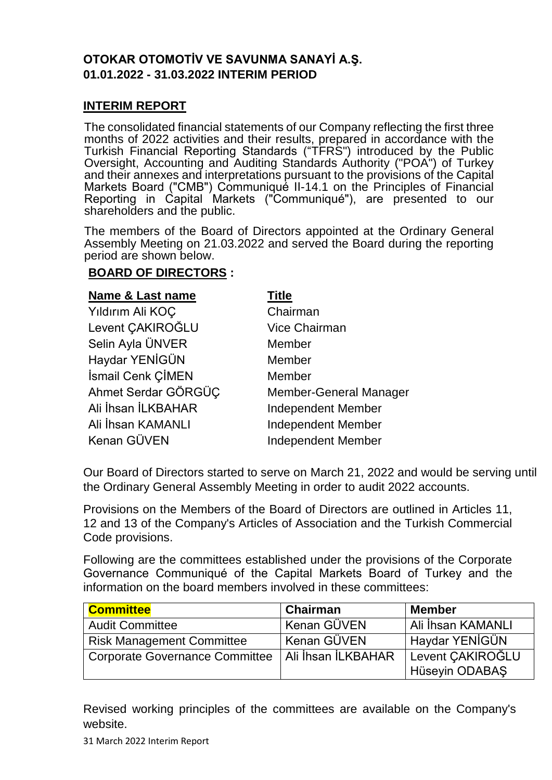#### **OTOKAR OTOMOTİV VE SAVUNMA SANAYİ A.Ş. 01.01.2022 - 31.03.2022 INTERIM PERIOD**

#### **INTERIM REPORT**

The consolidated financial statements of our Company reflecting the first three months of 2022 activities and their results, prepared in accordance with the Turkish Financial Reporting Standards ("TFRS") introduced by the Public Oversight, Accounting and Auditing Standards Authority ("POA") of Turkey and their annexes and interpretations pursuant to the provisions of the Capital Markets Board ("CMB") Communiqué II-14.1 on the Principles of Financial Reporting in Capital Markets ("Communiqué"), are presented to our shareholders and the public.

The members of the Board of Directors appointed at the Ordinary General Assembly Meeting on 21.03.2022 and served the Board during the reporting period are shown below.

#### **BOARD OF DIRECTORS :**

| <b>Name &amp; Last name</b> | Title                     |
|-----------------------------|---------------------------|
| Yıldırım Ali KOÇ            | Chairman                  |
| Levent CAKIROGLU            | <b>Vice Chairman</b>      |
| Selin Ayla ÜNVER            | Member                    |
| Haydar YENİGÜN              | Member                    |
| İsmail Cenk ÇİMEN           | Member                    |
| Ahmet Serdar GÖRGÜC         | Member-General Manager    |
| Ali İhsan İLKBAHAR          | <b>Independent Member</b> |
| Ali İhsan KAMANLI           | <b>Independent Member</b> |
| Kenan GÜVEN                 | <b>Independent Member</b> |

Our Board of Directors started to serve on March 21, 2022 and would be serving until the Ordinary General Assembly Meeting in order to audit 2022 accounts.

Provisions on the Members of the Board of Directors are outlined in Articles 11, 12 and 13 of the Company's Articles of Association and the Turkish Commercial Code provisions.

Following are the committees established under the provisions of the Corporate Governance Communiqué of the Capital Markets Board of Turkey and the information on the board members involved in these committees:

| <b>Committee</b>                      | Chairman           | <b>Member</b>                      |
|---------------------------------------|--------------------|------------------------------------|
| <b>Audit Committee</b>                | Kenan GÜVEN        | . Ali İhsan KAMANLI                |
| <b>Risk Management Committee</b>      | Kenan GÜVEN        | Haydar YENİGÜN                     |
| <b>Corporate Governance Committee</b> | Ali İhsan İLKBAHAR | Levent CAKIROĞLU<br>Hüseyin ODABAŞ |

Revised working principles of the committees are available on the Company's website.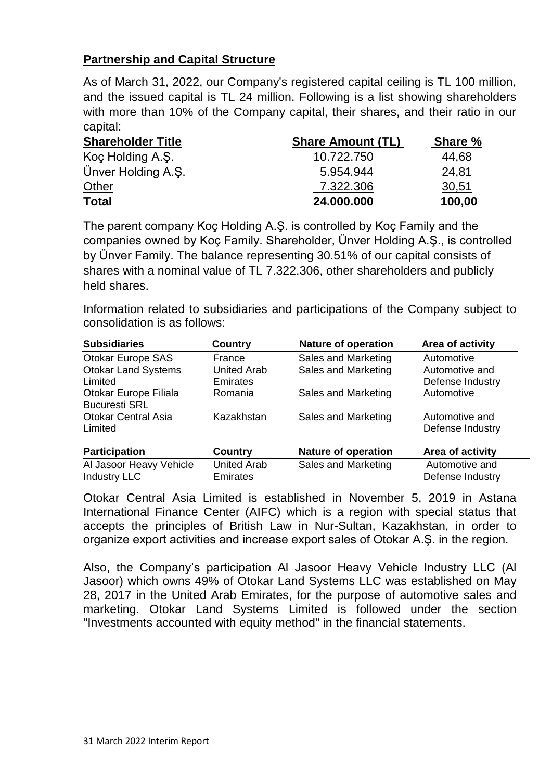#### **Partnership and Capital Structure**

As of March 31, 2022, our Company's registered capital ceiling is TL 100 million, and the issued capital is TL 24 million. Following is a list showing shareholders with more than 10% of the Company capital, their shares, and their ratio in our capital:

| <b>Shareholder Title</b> | <b>Share Amount (TL)</b> | Share % |
|--------------------------|--------------------------|---------|
| Koç Holding A.Ş.         | 10.722.750               | 44,68   |
| Ünver Holding A.S.       | 5.954.944                | 24.81   |
| Other                    | 7.322.306                | 30,51   |
| <b>Total</b>             | 24.000.000               | 100,00  |

The parent company Koç Holding A.Ş. is controlled by Koç Family and the companies owned by Koç Family. Shareholder, Ünver Holding A.Ş., is controlled by Ünver Family. The balance representing 30.51% of our capital consists of shares with a nominal value of TL 7.322.306, other shareholders and publicly held shares.

Information related to subsidiaries and participations of the Company subject to consolidation is as follows:

| <b>Subsidiaries</b>        | Country            | <b>Nature of operation</b> | Area of activity |
|----------------------------|--------------------|----------------------------|------------------|
| <b>Otokar Europe SAS</b>   | France             | Sales and Marketing        | Automotive       |
| <b>Otokar Land Systems</b> | <b>United Arab</b> | Sales and Marketing        | Automotive and   |
| Limited                    | <b>Emirates</b>    |                            | Defense Industry |
| Otokar Europe Filiala      | Romania            | Sales and Marketing        | Automotive       |
| <b>Bucuresti SRL</b>       |                    |                            |                  |
| <b>Otokar Central Asia</b> | Kazakhstan         | Sales and Marketing        | Automotive and   |
| Limited                    |                    |                            | Defense Industry |
| <b>Participation</b>       | <b>Country</b>     | <b>Nature of operation</b> | Area of activity |
| Al Jasoor Heavy Vehicle    | <b>United Arab</b> | Sales and Marketing        | Automotive and   |
| <b>Industry LLC</b>        | <b>Emirates</b>    |                            | Defense Industry |

Otokar Central Asia Limited is established in November 5, 2019 in Astana International Finance Center (AIFC) which is a region with special status that accepts the principles of British Law in Nur-Sultan, Kazakhstan, in order to organize export activities and increase export sales of Otokar A.Ş. in the region.

Also, the Company's participation Al Jasoor Heavy Vehicle Industry LLC (Al Jasoor) which owns 49% of Otokar Land Systems LLC was established on May 28, 2017 in the United Arab Emirates, for the purpose of automotive sales and marketing. Otokar Land Systems Limited is followed under the section "Investments accounted with equity method" in the financial statements.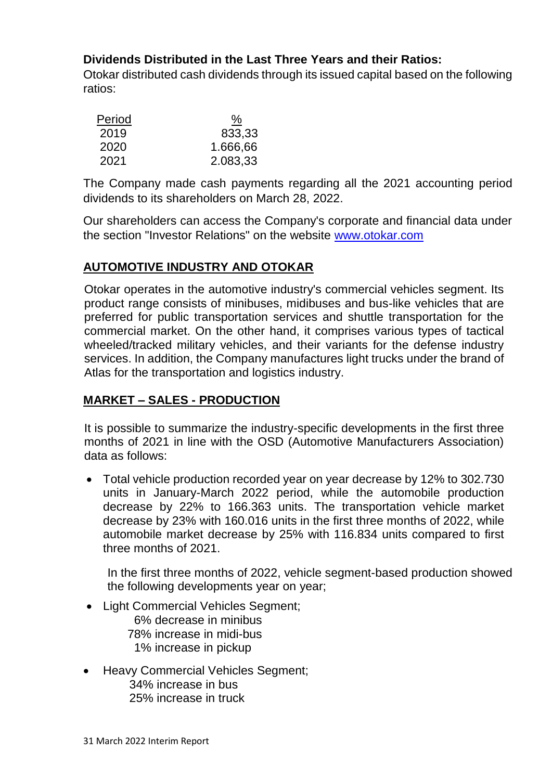#### **Dividends Distributed in the Last Three Years and their Ratios:**

Otokar distributed cash dividends through its issued capital based on the following ratios:

| Period | <u>%</u> |
|--------|----------|
| 2019   | 833,33   |
| 2020   | 1.666,66 |
| 2021   | 2.083,33 |

The Company made cash payments regarding all the 2021 accounting period dividends to its shareholders on March 28, 2022.

Our shareholders can access the Company's corporate and financial data under the section "Investor Relations" on the website [www.otokar.com](http://www.otokar.com/)

#### **AUTOMOTIVE INDUSTRY AND OTOKAR**

Otokar operates in the automotive industry's commercial vehicles segment. Its product range consists of minibuses, midibuses and bus-like vehicles that are preferred for public transportation services and shuttle transportation for the commercial market. On the other hand, it comprises various types of tactical wheeled/tracked military vehicles, and their variants for the defense industry services. In addition, the Company manufactures light trucks under the brand of Atlas for the transportation and logistics industry.

#### **MARKET – SALES - PRODUCTION**

It is possible to summarize the industry-specific developments in the first three months of 2021 in line with the OSD (Automotive Manufacturers Association) data as follows:

 Total vehicle production recorded year on year decrease by 12% to 302.730 units in January-March 2022 period, while the automobile production decrease by 22% to 166.363 units. The transportation vehicle market decrease by 23% with 160.016 units in the first three months of 2022, while automobile market decrease by 25% with 116.834 units compared to first three months of 2021.

In the first three months of 2022, vehicle segment-based production showed the following developments year on year;

Light Commercial Vehicles Segment;

6% decrease in minibus

- 78% increase in midi-bus
	- 1% increase in pickup
- Heavy Commercial Vehicles Segment; 34% increase in bus 25% increase in truck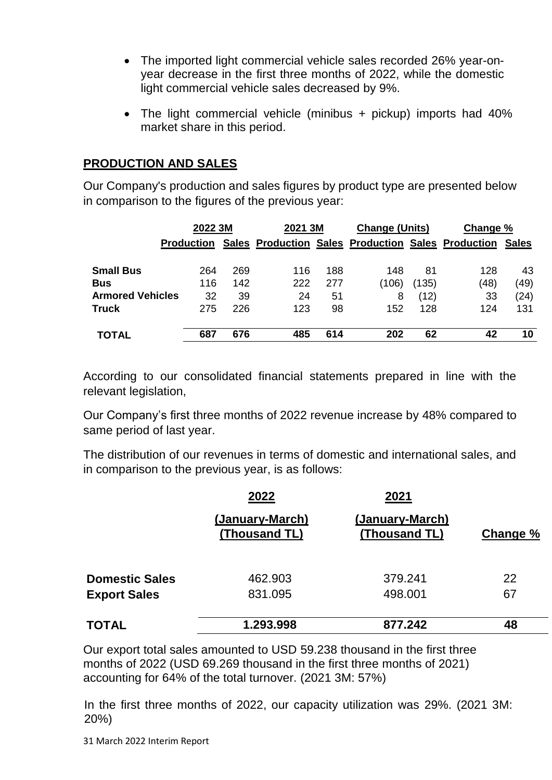- The imported light commercial vehicle sales recorded 26% year-onyear decrease in the first three months of 2022, while the domestic light commercial vehicle sales decreased by 9%.
- The light commercial vehicle (minibus + pickup) imports had 40% market share in this period.

#### **PRODUCTION AND SALES**

Our Company's production and sales figures by product type are presented below in comparison to the figures of the previous year:

|                         | 2022 3M           |     | 2021 3M |     | <b>Change (Units)</b> |       | Change %                                                 |      |
|-------------------------|-------------------|-----|---------|-----|-----------------------|-------|----------------------------------------------------------|------|
|                         | <b>Production</b> |     |         |     |                       |       | Sales Production Sales Production Sales Production Sales |      |
| <b>Small Bus</b>        | 264               | 269 | 116     | 188 | 148                   | 81    | 128                                                      | 43   |
| <b>Bus</b>              | 116               | 142 | 222     | 277 | (106)                 | (135) | (48)                                                     | (49) |
| <b>Armored Vehicles</b> | 32                | 39  | 24      | 51  | 8                     | (12)  | 33                                                       | (24) |
| <b>Truck</b>            | 275               | 226 | 123     | 98  | 152                   | 128   | 124                                                      | 131  |
| <b>TOTAL</b>            | 687               | 676 | 485     | 614 | 202                   | 62    | 42                                                       | 10   |

According to our consolidated financial statements prepared in line with the relevant legislation,

Our Company's first three months of 2022 revenue increase by 48% compared to same period of last year.

The distribution of our revenues in terms of domestic and international sales, and in comparison to the previous year, is as follows:

|                       | 2022<br>(January-March)<br>(Thousand TL) | 2021<br>(January-March)<br>(Thousand TL) | Change % |
|-----------------------|------------------------------------------|------------------------------------------|----------|
| <b>Domestic Sales</b> | 462.903                                  | 379.241                                  | 22       |
| <b>Export Sales</b>   | 831.095                                  | 498.001                                  | 67       |
| <b>TOTAL</b>          | 1.293.998                                | 877.242                                  | 48       |

Our export total sales amounted to USD 59.238 thousand in the first three months of 2022 (USD 69.269 thousand in the first three months of 2021) accounting for 64% of the total turnover. (2021 3M: 57%)

In the first three months of 2022, our capacity utilization was 29%. (2021 3M: 20%)

31 March 2022 Interim Report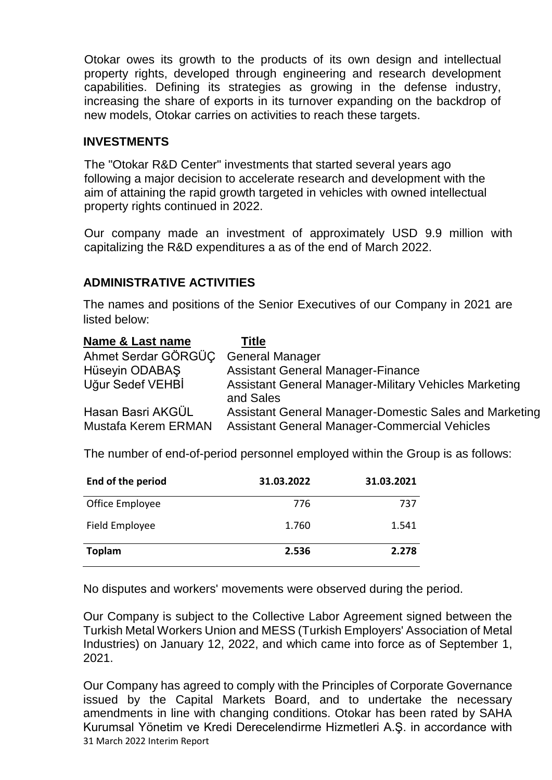Otokar owes its growth to the products of its own design and intellectual property rights, developed through engineering and research development capabilities. Defining its strategies as growing in the defense industry, increasing the share of exports in its turnover expanding on the backdrop of new models, Otokar carries on activities to reach these targets.

#### **INVESTMENTS**

The "Otokar R&D Center" investments that started several years ago following a major decision to accelerate research and development with the aim of attaining the rapid growth targeted in vehicles with owned intellectual property rights continued in 2022.

Our company made an investment of approximately USD 9.9 million with capitalizing the R&D expenditures a as of the end of March 2022.

#### **ADMINISTRATIVE ACTIVITIES**

The names and positions of the Senior Executives of our Company in 2021 are listed below:

| Name & Last name                         | <b>Title</b>                                                                                                   |
|------------------------------------------|----------------------------------------------------------------------------------------------------------------|
| Ahmet Serdar GÖRGÜC                      | <b>General Manager</b>                                                                                         |
| Hüseyin ODABAŞ                           | <b>Assistant General Manager-Finance</b>                                                                       |
| Uğur Sedef VEHBİ                         | <b>Assistant General Manager-Military Vehicles Marketing</b><br>and Sales                                      |
| Hasan Basri AKGÜL<br>Mustafa Kerem ERMAN | Assistant General Manager-Domestic Sales and Marketing<br><b>Assistant General Manager-Commercial Vehicles</b> |

The number of end-of-period personnel employed within the Group is as follows:

| End of the period | 31.03.2022 | 31.03.2021 |
|-------------------|------------|------------|
| Office Employee   | 776        | 737        |
| Field Employee    | 1.760      | 1.541      |
| <b>Toplam</b>     | 2.536      | 2.278      |

No disputes and workers' movements were observed during the period.

Our Company is subject to the Collective Labor Agreement signed between the Turkish Metal Workers Union and MESS (Turkish Employers' Association of Metal Industries) on January 12, 2022, and which came into force as of September 1, 2021.

31 March 2022 Interim Report Our Company has agreed to comply with the Principles of Corporate Governance issued by the Capital Markets Board, and to undertake the necessary amendments in line with changing conditions. Otokar has been rated by SAHA Kurumsal Yönetim ve Kredi Derecelendirme Hizmetleri A.Ş. in accordance with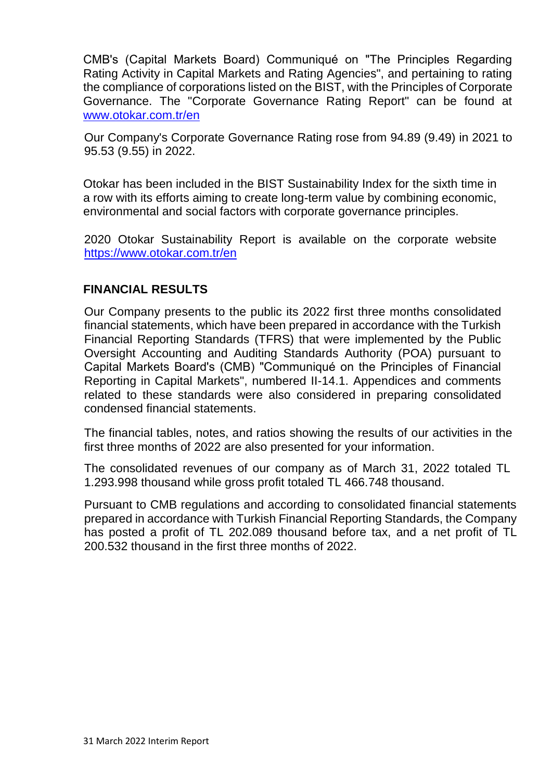CMB's (Capital Markets Board) Communiqué on "The Principles Regarding Rating Activity in Capital Markets and Rating Agencies", and pertaining to rating the compliance of corporations listed on the BIST, with the Principles of Corporate Governance. The "Corporate Governance Rating Report" can be found at [www.otokar.com.tr/en](http://www.otokar.com.tr/en)

Our Company's Corporate Governance Rating rose from 94.89 (9.49) in 2021 to 95.53 (9.55) in 2022.

Otokar has been included in the BIST Sustainability Index for the sixth time in a row with its efforts aiming to create long-term value by combining economic, environmental and social factors with corporate governance principles.

2020 Otokar Sustainability Report is available on the corporate website <https://www.otokar.com.tr/en>

#### **FINANCIAL RESULTS**

Our Company presents to the public its 2022 first three months consolidated financial statements, which have been prepared in accordance with the Turkish Financial Reporting Standards (TFRS) that were implemented by the Public Oversight Accounting and Auditing Standards Authority (POA) pursuant to Capital Markets Board's (CMB) "Communiqué on the Principles of Financial Reporting in Capital Markets", numbered II-14.1. Appendices and comments related to these standards were also considered in preparing consolidated condensed financial statements.

The financial tables, notes, and ratios showing the results of our activities in the first three months of 2022 are also presented for your information.

The consolidated revenues of our company as of March 31, 2022 totaled TL 1.293.998 thousand while gross profit totaled TL 466.748 thousand.

Pursuant to CMB regulations and according to consolidated financial statements prepared in accordance with Turkish Financial Reporting Standards, the Company has posted a profit of TL 202.089 thousand before tax, and a net profit of TL 200.532 thousand in the first three months of 2022.